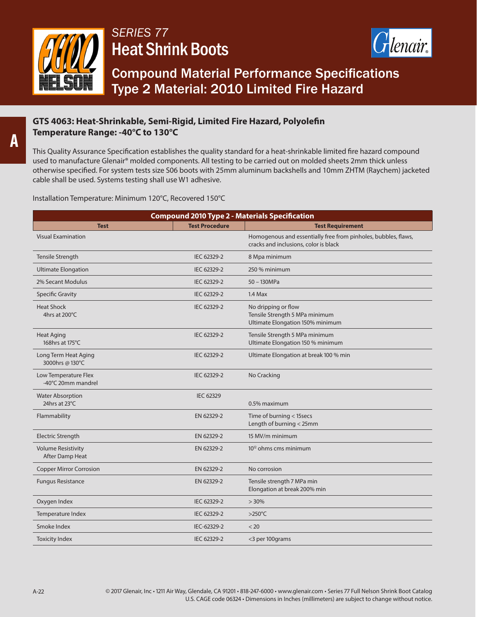

## *SERIES 77*  Heat Shrink Boots



Compound Material Performance Specifications Type 2 Material: 2010 Limited Fire Hazard

## **GTS 4063: Heat-Shrinkable, Semi-Rigid, Limited Fire Hazard, Polyolefin Temperature Range: -40°C to 130°C**

This Quality Assurance Specification establishes the quality standard for a heat-shrinkable limited fire hazard compound used to manufacture Glenair® molded components. All testing to be carried out on molded sheets 2mm thick unless otherwise specified. For system tests size S06 boots with 25mm aluminum backshells and 10mm ZHTM (Raychem) jacketed cable shall be used. Systems testing shall use W1 adhesive.

Installation Temperature: Minimum 120°C, Recovered 150°C

| <b>Compound 2010 Type 2 - Materials Specification</b> |                       |                                                                                                         |  |
|-------------------------------------------------------|-----------------------|---------------------------------------------------------------------------------------------------------|--|
| <b>Test</b>                                           | <b>Test Procedure</b> | <b>Test Requirement</b>                                                                                 |  |
| <b>Visual Examination</b>                             |                       | Homogenous and essentially free from pinholes, bubbles, flaws,<br>cracks and inclusions, color is black |  |
| <b>Tensile Strength</b>                               | IEC 62329-2           | 8 Mpa minimum                                                                                           |  |
| <b>Ultimate Elongation</b>                            | IEC 62329-2           | 250 % minimum                                                                                           |  |
| 2% Secant Modulus                                     | IEC 62329-2           | 50 - 130MPa                                                                                             |  |
| <b>Specific Gravity</b>                               | IEC 62329-2           | $1.4$ Max                                                                                               |  |
| <b>Heat Shock</b><br>4hrs at 200°C                    | IEC 62329-2           | No dripping or flow<br>Tensile Strength 5 MPa minimum<br>Ultimate Elongation 150% minimum               |  |
| <b>Heat Aging</b><br>168hrs at 175°C                  | IEC 62329-2           | Tensile Strength 5 MPa minimum<br>Ultimate Elongation 150 % minimum                                     |  |
| Long Term Heat Aging<br>3000hrs @ 130°C               | IEC 62329-2           | Ultimate Elongation at break 100 % min                                                                  |  |
| Low Temperature Flex<br>-40°C 20mm mandrel            | IEC 62329-2           | No Cracking                                                                                             |  |
| <b>Water Absorption</b><br>24hrs at 23°C              | <b>IEC 62329</b>      | 0.5% maximum                                                                                            |  |
| Flammability                                          | EN 62329-2            | Time of burning < 15secs<br>Length of burning < 25mm                                                    |  |
| <b>Electric Strength</b>                              | EN 62329-2            | 15 MV/m minimum                                                                                         |  |
| <b>Volume Resistivity</b><br>After Damp Heat          | EN 62329-2            | $10^{12}$ ohms cms minimum                                                                              |  |
| <b>Copper Mirror Corrosion</b>                        | EN 62329-2            | No corrosion                                                                                            |  |
| <b>Fungus Resistance</b>                              | EN 62329-2            | Tensile strength 7 MPa min<br>Elongation at break 200% min                                              |  |
| Oxygen Index                                          | IEC 62329-2           | $>30\%$                                                                                                 |  |
| Temperature Index                                     | IEC 62329-2           | $>250^{\circ}$ C                                                                                        |  |
| Smoke Index                                           | IEC-62329-2           | < 20                                                                                                    |  |
| <b>Toxicity Index</b>                                 | IEC 62329-2           | <3 per 100 grams                                                                                        |  |